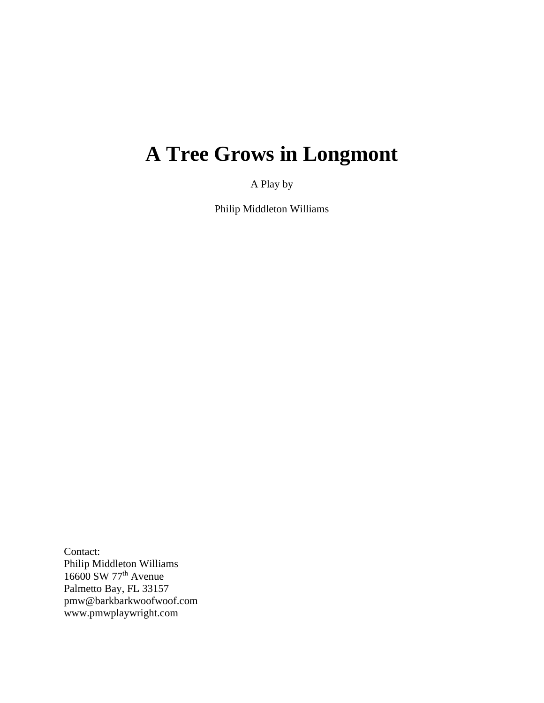# **A Tree Grows in Longmont**

A Play by

Philip Middleton Williams

Contact: Philip Middleton Williams  $16600$  SW  $77<sup>th</sup>$  Avenue Palmetto Bay, FL 33157 pmw@barkbarkwoofwoof.com www.pmwplaywright.com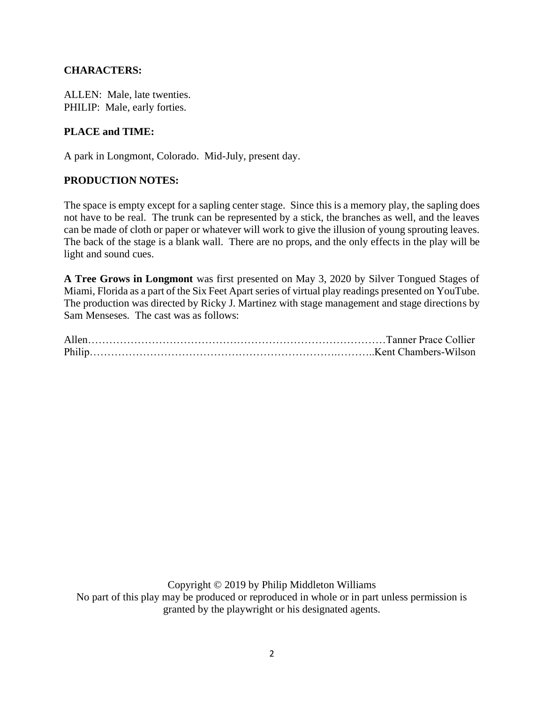## **CHARACTERS:**

ALLEN: Male, late twenties. PHILIP: Male, early forties.

### **PLACE and TIME:**

A park in Longmont, Colorado. Mid-July, present day.

### **PRODUCTION NOTES:**

The space is empty except for a sapling center stage. Since this is a memory play, the sapling does not have to be real. The trunk can be represented by a stick, the branches as well, and the leaves can be made of cloth or paper or whatever will work to give the illusion of young sprouting leaves. The back of the stage is a blank wall. There are no props, and the only effects in the play will be light and sound cues.

**A Tree Grows in Longmont** was first presented on May 3, 2020 by Silver Tongued Stages of Miami, Florida as a part of the Six Feet Apart series of virtual play readings presented on YouTube. The production was directed by Ricky J. Martinez with stage management and stage directions by Sam Menseses. The cast was as follows:

Copyright © 2019 by Philip Middleton Williams No part of this play may be produced or reproduced in whole or in part unless permission is granted by the playwright or his designated agents.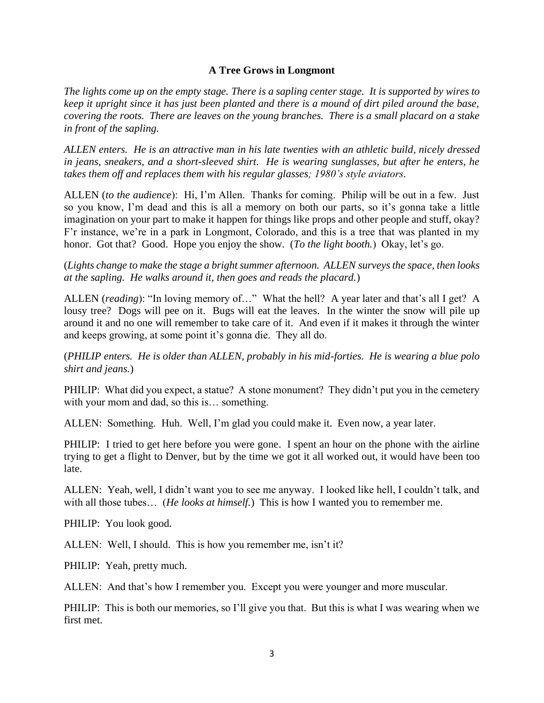#### **A Tree Grows in Longmont**

*The lights come up on the empty stage. There is a sapling center stage. It is supported by wires to keep it upright since it has just been planted and there is a mound of dirt piled around the base, covering the roots. There are leaves on the young branches. There is a small placard on a stake in front of the sapling.*

*ALLEN enters. He is an attractive man in his late twenties with an athletic build, nicely dressed in jeans, sneakers, and a short-sleeved shirt. He is wearing sunglasses, but after he enters, he takes them off and replaces them with his regular glasses; 1980's style aviators.*

ALLEN (*to the audience*): Hi, I'm Allen. Thanks for coming. Philip will be out in a few. Just so you know, I'm dead and this is all a memory on both our parts, so it's gonna take a little imagination on your part to make it happen for things like props and other people and stuff, okay? F'r instance, we're in a park in Longmont, Colorado, and this is a tree that was planted in my honor. Got that? Good. Hope you enjoy the show. (*To the light booth.*) Okay, let's go.

(*Lights change to make the stage a bright summer afternoon. ALLEN surveys the space, then looks at the sapling. He walks around it, then goes and reads the placard.*)

ALLEN (*reading*): "In loving memory of…" What the hell? A year later and that's all I get? A lousy tree? Dogs will pee on it. Bugs will eat the leaves. In the winter the snow will pile up around it and no one will remember to take care of it. And even if it makes it through the winter and keeps growing, at some point it's gonna die. They all do.

(*PHILIP enters. He is older than ALLEN, probably in his mid-forties. He is wearing a blue polo shirt and jeans.*)

PHILIP: What did you expect, a statue? A stone monument? They didn't put you in the cemetery with your mom and dad, so this is... something.

ALLEN: Something. Huh. Well, I'm glad you could make it. Even now, a year later.

PHILIP: I tried to get here before you were gone. I spent an hour on the phone with the airline trying to get a flight to Denver, but by the time we got it all worked out, it would have been too late.

ALLEN: Yeah, well, I didn't want you to see me anyway. I looked like hell, I couldn't talk, and with all those tubes… (*He looks at himself.*) This is how I wanted you to remember me.

PHILIP: You look good.

ALLEN: Well, I should. This is how you remember me, isn't it?

PHILIP: Yeah, pretty much.

ALLEN: And that's how I remember you. Except you were younger and more muscular.

PHILIP: This is both our memories, so I'll give you that. But this is what I was wearing when we first met.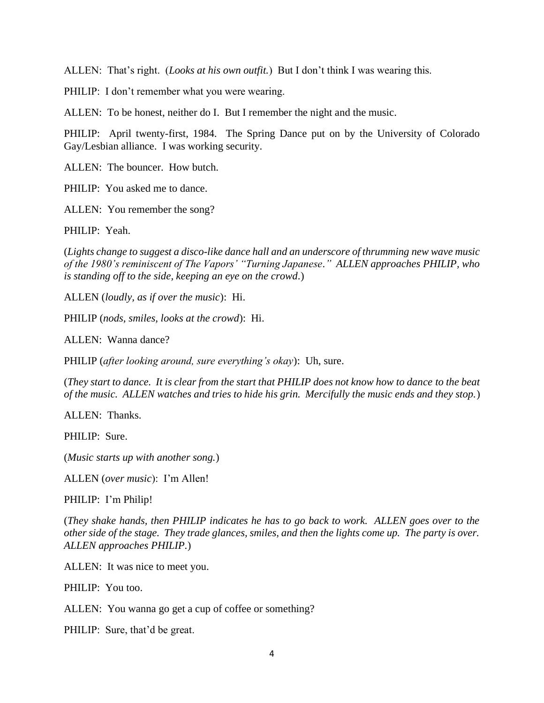ALLEN: That's right. (*Looks at his own outfit.*) But I don't think I was wearing this.

PHILIP: I don't remember what you were wearing.

ALLEN: To be honest, neither do I. But I remember the night and the music.

PHILIP: April twenty-first, 1984. The Spring Dance put on by the University of Colorado Gay/Lesbian alliance. I was working security.

ALLEN: The bouncer. How butch.

PHILIP: You asked me to dance.

ALLEN: You remember the song?

PHILIP: Yeah.

(*Lights change to suggest a disco-like dance hall and an underscore of thrumming new wave music of the 1980's reminiscent of The Vapors' "Turning Japanese." ALLEN approaches PHILIP, who is standing off to the side, keeping an eye on the crowd.*)

ALLEN (*loudly, as if over the music*): Hi.

PHILIP (*nods, smiles, looks at the crowd*): Hi.

ALLEN: Wanna dance?

PHILIP (*after looking around, sure everything's okay*): Uh, sure.

(*They start to dance. It is clear from the start that PHILIP does not know how to dance to the beat of the music. ALLEN watches and tries to hide his grin. Mercifully the music ends and they stop.*)

ALLEN: Thanks.

PHILIP: Sure.

(*Music starts up with another song.*)

ALLEN (*over music*): I'm Allen!

PHILIP: I'm Philip!

(*They shake hands, then PHILIP indicates he has to go back to work. ALLEN goes over to the other side of the stage. They trade glances, smiles, and then the lights come up. The party is over. ALLEN approaches PHILIP.*)

ALLEN: It was nice to meet you.

PHILIP: You too.

ALLEN: You wanna go get a cup of coffee or something?

PHILIP: Sure, that'd be great.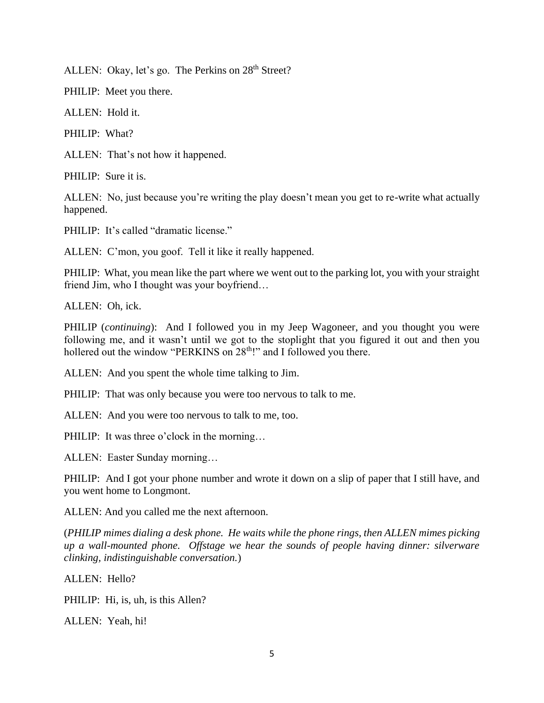ALLEN: Okay, let's go. The Perkins on 28<sup>th</sup> Street?

PHILIP: Meet you there.

ALLEN: Hold it.

PHILIP: What?

ALLEN: That's not how it happened.

PHILIP: Sure it is.

ALLEN: No, just because you're writing the play doesn't mean you get to re-write what actually happened.

PHILIP: It's called "dramatic license."

ALLEN: C'mon, you goof. Tell it like it really happened.

PHILIP: What, you mean like the part where we went out to the parking lot, you with your straight friend Jim, who I thought was your boyfriend…

ALLEN: Oh, ick.

PHILIP (*continuing*): And I followed you in my Jeep Wagoneer, and you thought you were following me, and it wasn't until we got to the stoplight that you figured it out and then you hollered out the window "PERKINS on 28<sup>th</sup>!" and I followed you there.

ALLEN: And you spent the whole time talking to Jim.

PHILIP: That was only because you were too nervous to talk to me.

ALLEN: And you were too nervous to talk to me, too.

PHILIP: It was three o'clock in the morning...

ALLEN: Easter Sunday morning…

PHILIP: And I got your phone number and wrote it down on a slip of paper that I still have, and you went home to Longmont.

ALLEN: And you called me the next afternoon.

(*PHILIP mimes dialing a desk phone. He waits while the phone rings, then ALLEN mimes picking up a wall-mounted phone. Offstage we hear the sounds of people having dinner: silverware clinking, indistinguishable conversation.*)

ALLEN: Hello?

PHILIP: Hi, is, uh, is this Allen?

ALLEN: Yeah, hi!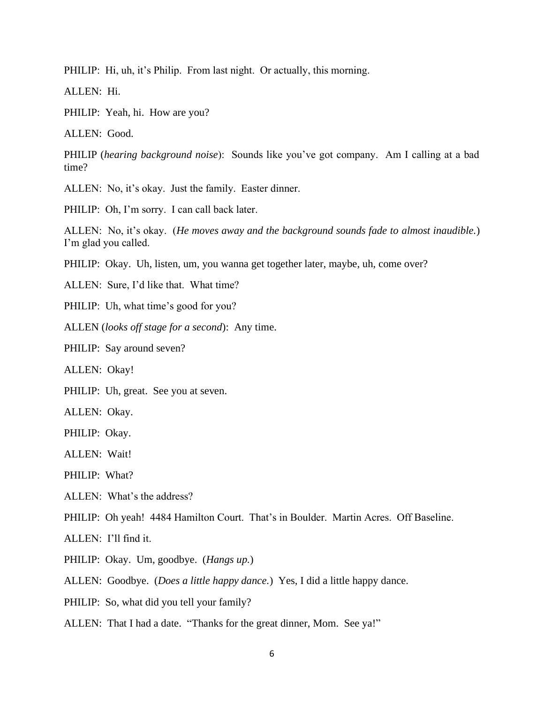PHILIP: Hi, uh, it's Philip. From last night. Or actually, this morning.

ALLEN: Hi.

PHILIP: Yeah, hi. How are you?

ALLEN: Good.

PHILIP (*hearing background noise*): Sounds like you've got company. Am I calling at a bad time?

ALLEN: No, it's okay. Just the family. Easter dinner.

PHILIP: Oh, I'm sorry. I can call back later.

ALLEN: No, it's okay. (*He moves away and the background sounds fade to almost inaudible.*) I'm glad you called.

PHILIP: Okay. Uh, listen, um, you wanna get together later, maybe, uh, come over?

ALLEN: Sure, I'd like that. What time?

PHILIP: Uh, what time's good for you?

ALLEN (*looks off stage for a second*): Any time.

PHILIP: Say around seven?

ALLEN: Okay!

PHILIP: Uh, great. See you at seven.

ALLEN: Okay.

PHILIP: Okay.

ALLEN: Wait!

PHILIP: What?

ALLEN: What's the address?

PHILIP: Oh yeah! 4484 Hamilton Court. That's in Boulder. Martin Acres. Off Baseline.

ALLEN: I'll find it.

PHILIP: Okay. Um, goodbye. (*Hangs up.*)

ALLEN: Goodbye. (*Does a little happy dance.*) Yes, I did a little happy dance.

PHILIP: So, what did you tell your family?

ALLEN: That I had a date. "Thanks for the great dinner, Mom. See ya!"

6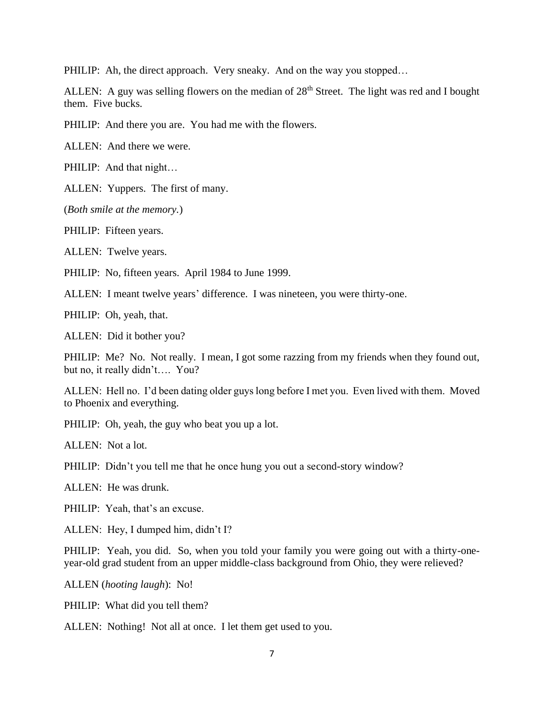PHILIP: Ah, the direct approach. Very sneaky. And on the way you stopped...

ALLEN: A guy was selling flowers on the median of  $28<sup>th</sup>$  Street. The light was red and I bought them. Five bucks.

PHILIP: And there you are. You had me with the flowers.

ALLEN: And there we were.

PHILIP: And that night…

ALLEN: Yuppers. The first of many.

(*Both smile at the memory.*)

PHILIP: Fifteen years.

ALLEN: Twelve years.

PHILIP: No, fifteen years. April 1984 to June 1999.

ALLEN: I meant twelve years' difference. I was nineteen, you were thirty-one.

PHILIP: Oh, yeah, that.

ALLEN: Did it bother you?

PHILIP: Me? No. Not really. I mean, I got some razzing from my friends when they found out, but no, it really didn't…. You?

ALLEN: Hell no. I'd been dating older guys long before I met you. Even lived with them. Moved to Phoenix and everything.

PHILIP: Oh, yeah, the guy who beat you up a lot.

ALLEN: Not a lot.

PHILIP: Didn't you tell me that he once hung you out a second-story window?

ALLEN: He was drunk.

PHILIP: Yeah, that's an excuse.

ALLEN: Hey, I dumped him, didn't I?

PHILIP: Yeah, you did. So, when you told your family you were going out with a thirty-oneyear-old grad student from an upper middle-class background from Ohio, they were relieved?

ALLEN (*hooting laugh*): No!

PHILIP: What did you tell them?

ALLEN: Nothing! Not all at once. I let them get used to you.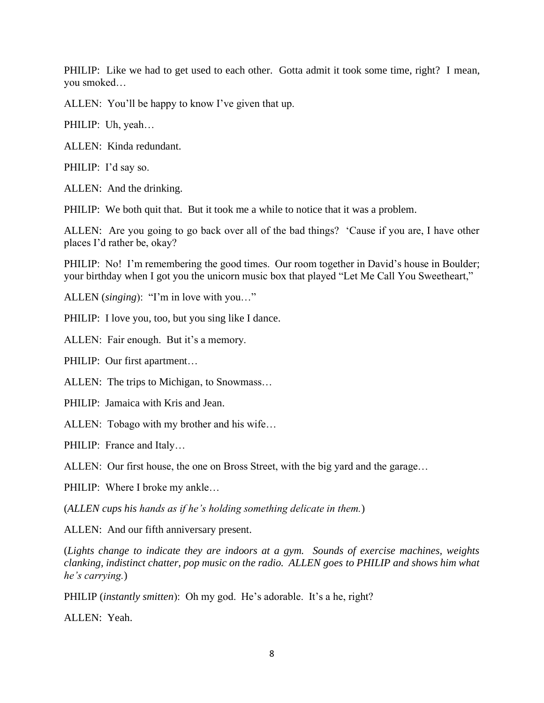PHILIP: Like we had to get used to each other. Gotta admit it took some time, right? I mean, you smoked…

ALLEN: You'll be happy to know I've given that up.

PHILIP: Uh, yeah…

ALLEN: Kinda redundant.

PHILIP: I'd say so.

ALLEN: And the drinking.

PHILIP: We both quit that. But it took me a while to notice that it was a problem.

ALLEN: Are you going to go back over all of the bad things? 'Cause if you are, I have other places I'd rather be, okay?

PHILIP: No! I'm remembering the good times. Our room together in David's house in Boulder; your birthday when I got you the unicorn music box that played "Let Me Call You Sweetheart,"

ALLEN (*singing*): "I'm in love with you…"

PHILIP: I love you, too, but you sing like I dance.

ALLEN: Fair enough. But it's a memory.

PHILIP: Our first apartment…

ALLEN: The trips to Michigan, to Snowmass…

PHILIP: Jamaica with Kris and Jean.

ALLEN: Tobago with my brother and his wife…

PHILIP: France and Italy…

ALLEN: Our first house, the one on Bross Street, with the big yard and the garage…

PHILIP: Where I broke my ankle…

(*ALLEN cups his hands as if he's holding something delicate in them.*)

ALLEN: And our fifth anniversary present.

(*Lights change to indicate they are indoors at a gym. Sounds of exercise machines, weights clanking, indistinct chatter, pop music on the radio. ALLEN goes to PHILIP and shows him what he's carrying.*)

PHILIP (*instantly smitten*): Oh my god. He's adorable. It's a he, right?

ALLEN: Yeah.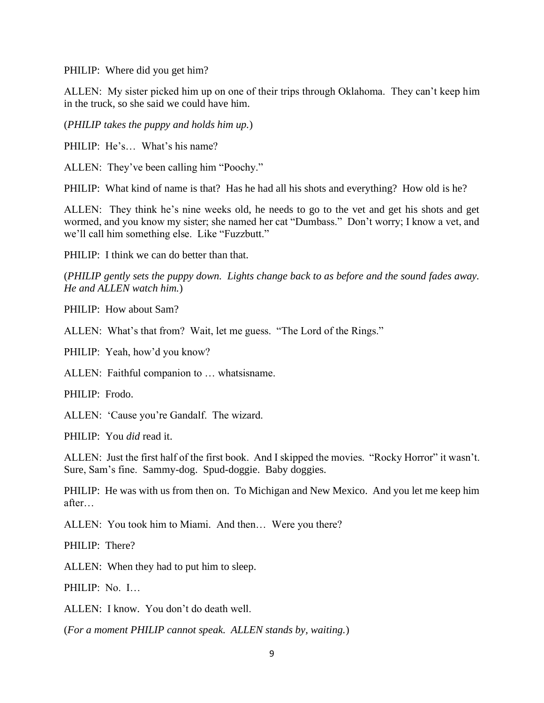PHILIP: Where did you get him?

ALLEN: My sister picked him up on one of their trips through Oklahoma. They can't keep him in the truck, so she said we could have him.

(*PHILIP takes the puppy and holds him up.*)

PHILIP: He's… What's his name?

ALLEN: They've been calling him "Poochy."

PHILIP: What kind of name is that? Has he had all his shots and everything? How old is he?

ALLEN: They think he's nine weeks old, he needs to go to the vet and get his shots and get wormed, and you know my sister; she named her cat "Dumbass." Don't worry; I know a vet, and we'll call him something else. Like "Fuzzbutt."

PHILIP: I think we can do better than that.

(*PHILIP gently sets the puppy down. Lights change back to as before and the sound fades away. He and ALLEN watch him.*)

PHILIP: How about Sam?

ALLEN: What's that from? Wait, let me guess. "The Lord of the Rings."

PHILIP: Yeah, how'd you know?

ALLEN: Faithful companion to … whatsisname.

PHILIP: Frodo.

ALLEN: 'Cause you're Gandalf. The wizard.

PHILIP: You *did* read it.

ALLEN: Just the first half of the first book. And I skipped the movies. "Rocky Horror" it wasn't. Sure, Sam's fine. Sammy-dog. Spud-doggie. Baby doggies.

PHILIP: He was with us from then on. To Michigan and New Mexico. And you let me keep him after…

ALLEN: You took him to Miami. And then… Were you there?

PHILIP: There?

ALLEN: When they had to put him to sleep.

PHILIP: No. I…

ALLEN: I know. You don't do death well.

(*For a moment PHILIP cannot speak. ALLEN stands by, waiting.*)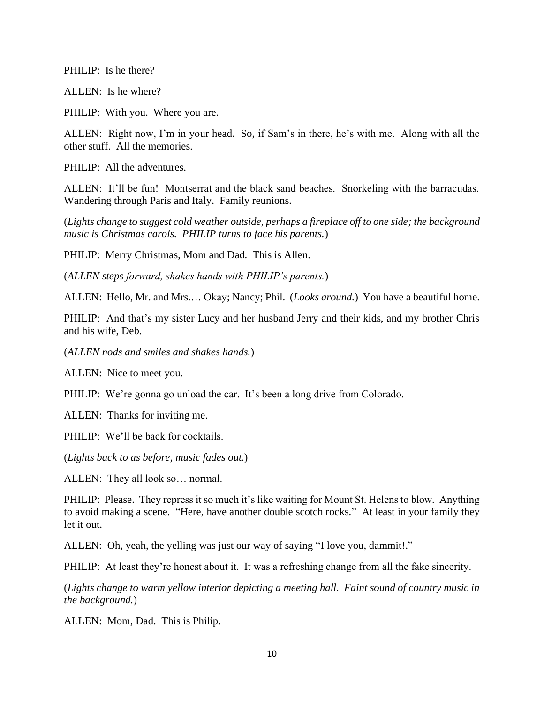PHILIP: Is he there?

ALLEN: Is he where?

PHILIP: With you. Where you are.

ALLEN: Right now, I'm in your head. So, if Sam's in there, he's with me. Along with all the other stuff. All the memories.

PHILIP: All the adventures.

ALLEN: It'll be fun! Montserrat and the black sand beaches. Snorkeling with the barracudas. Wandering through Paris and Italy. Family reunions.

(*Lights change to suggest cold weather outside, perhaps a fireplace off to one side; the background music is Christmas carols. PHILIP turns to face his parents.*)

PHILIP: Merry Christmas, Mom and Dad. This is Allen.

(*ALLEN steps forward, shakes hands with PHILIP's parents.*)

ALLEN: Hello, Mr. and Mrs.… Okay; Nancy; Phil. (*Looks around.*) You have a beautiful home.

PHILIP: And that's my sister Lucy and her husband Jerry and their kids, and my brother Chris and his wife, Deb.

(*ALLEN nods and smiles and shakes hands.*)

ALLEN: Nice to meet you.

PHILIP: We're gonna go unload the car. It's been a long drive from Colorado.

ALLEN: Thanks for inviting me.

PHILIP: We'll be back for cocktails.

(*Lights back to as before, music fades out.*)

ALLEN: They all look so… normal.

PHILIP: Please. They repress it so much it's like waiting for Mount St. Helens to blow. Anything to avoid making a scene. "Here, have another double scotch rocks." At least in your family they let it out.

ALLEN: Oh, yeah, the yelling was just our way of saying "I love you, dammit!."

PHILIP: At least they're honest about it. It was a refreshing change from all the fake sincerity.

(*Lights change to warm yellow interior depicting a meeting hall. Faint sound of country music in the background.*)

ALLEN: Mom, Dad. This is Philip.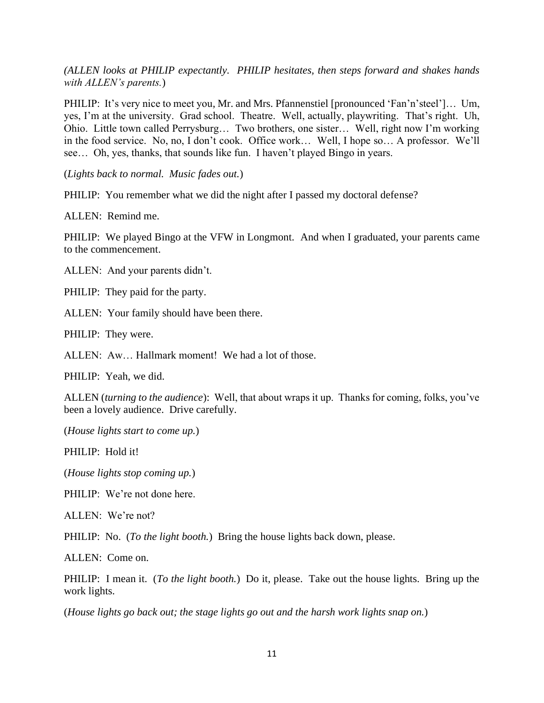*(ALLEN looks at PHILIP expectantly. PHILIP hesitates, then steps forward and shakes hands with ALLEN's parents.*)

PHILIP: It's very nice to meet you, Mr. and Mrs. Pfannenstiel [pronounced 'Fan'n'steel']… Um, yes, I'm at the university. Grad school. Theatre. Well, actually, playwriting. That's right. Uh, Ohio. Little town called Perrysburg… Two brothers, one sister… Well, right now I'm working in the food service. No, no, I don't cook. Office work… Well, I hope so… A professor. We'll see… Oh, yes, thanks, that sounds like fun. I haven't played Bingo in years.

(*Lights back to normal. Music fades out.*)

PHILIP: You remember what we did the night after I passed my doctoral defense?

ALLEN: Remind me.

PHILIP: We played Bingo at the VFW in Longmont. And when I graduated, your parents came to the commencement.

ALLEN: And your parents didn't.

PHILIP: They paid for the party.

ALLEN: Your family should have been there.

PHILIP: They were.

ALLEN: Aw… Hallmark moment! We had a lot of those.

PHILIP: Yeah, we did.

ALLEN (*turning to the audience*): Well, that about wraps it up. Thanks for coming, folks, you've been a lovely audience. Drive carefully.

(*House lights start to come up.*)

PHILIP: Hold it!

(*House lights stop coming up.*)

PHILIP: We're not done here.

ALLEN: We're not?

PHILIP: No. (*To the light booth.*) Bring the house lights back down, please.

ALLEN: Come on.

PHILIP: I mean it. (*To the light booth.*) Do it, please. Take out the house lights. Bring up the work lights.

(*House lights go back out; the stage lights go out and the harsh work lights snap on.*)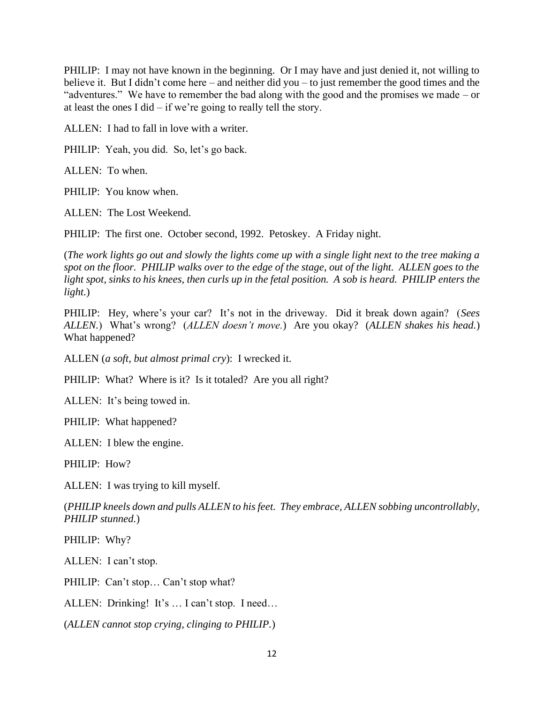PHILIP: I may not have known in the beginning. Or I may have and just denied it, not willing to believe it. But I didn't come here – and neither did you – to just remember the good times and the "adventures." We have to remember the bad along with the good and the promises we made – or at least the ones I did – if we're going to really tell the story.

ALLEN: I had to fall in love with a writer.

PHILIP: Yeah, you did. So, let's go back.

ALLEN: To when.

PHILIP: You know when.

ALLEN: The Lost Weekend.

PHILIP: The first one. October second, 1992. Petoskey. A Friday night.

(*The work lights go out and slowly the lights come up with a single light next to the tree making a spot on the floor. PHILIP walks over to the edge of the stage, out of the light. ALLEN goes to the light spot, sinks to his knees, then curls up in the fetal position. A sob is heard. PHILIP enters the light.*)

PHILIP: Hey, where's your car? It's not in the driveway. Did it break down again? (*Sees ALLEN.*) What's wrong? (*ALLEN doesn't move.*) Are you okay? (*ALLEN shakes his head.*) What happened?

ALLEN (*a soft, but almost primal cry*): I wrecked it.

PHILIP: What? Where is it? Is it totaled? Are you all right?

ALLEN: It's being towed in.

PHILIP: What happened?

ALLEN: I blew the engine.

PHILIP: How?

ALLEN: I was trying to kill myself.

(*PHILIP kneels down and pulls ALLEN to his feet. They embrace, ALLEN sobbing uncontrollably, PHILIP stunned.*)

PHILIP: Why?

ALLEN: I can't stop.

PHILIP: Can't stop… Can't stop what?

ALLEN: Drinking! It's … I can't stop. I need…

(*ALLEN cannot stop crying, clinging to PHILIP.*)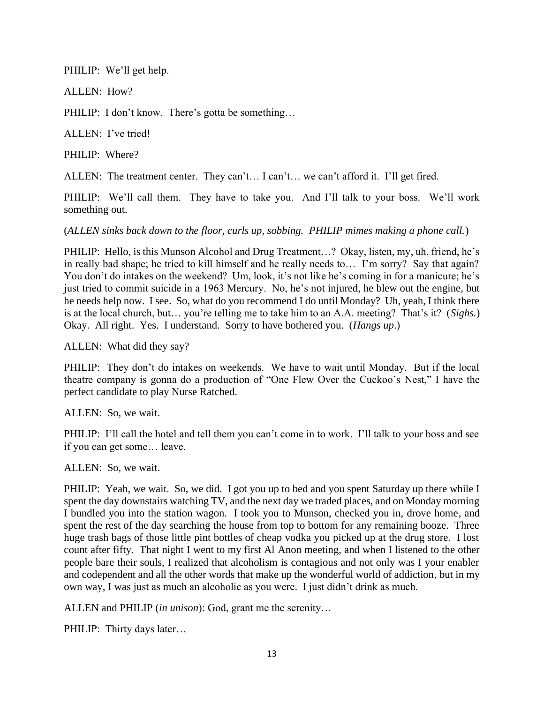PHILIP: We'll get help.

ALLEN: How?

PHILIP: I don't know. There's gotta be something...

ALLEN: I've tried!

PHILIP: Where?

ALLEN: The treatment center. They can't… I can't… we can't afford it. I'll get fired.

PHILIP: We'll call them. They have to take you. And I'll talk to your boss. We'll work something out.

(*ALLEN sinks back down to the floor, curls up, sobbing. PHILIP mimes making a phone call.*)

PHILIP: Hello, is this Munson Alcohol and Drug Treatment…? Okay, listen, my, uh, friend, he's in really bad shape; he tried to kill himself and he really needs to… I'm sorry? Say that again? You don't do intakes on the weekend? Um, look, it's not like he's coming in for a manicure; he's just tried to commit suicide in a 1963 Mercury. No, he's not injured, he blew out the engine, but he needs help now. I see. So, what do you recommend I do until Monday? Uh, yeah, I think there is at the local church, but… you're telling me to take him to an A.A. meeting? That's it? (*Sighs.*) Okay. All right. Yes. I understand. Sorry to have bothered you. (*Hangs up*.)

ALLEN: What did they say?

PHILIP: They don't do intakes on weekends. We have to wait until Monday. But if the local theatre company is gonna do a production of "One Flew Over the Cuckoo's Nest," I have the perfect candidate to play Nurse Ratched.

ALLEN: So, we wait.

PHILIP: I'll call the hotel and tell them you can't come in to work. I'll talk to your boss and see if you can get some… leave.

ALLEN: So, we wait.

PHILIP: Yeah, we wait. So, we did. I got you up to bed and you spent Saturday up there while I spent the day downstairs watching TV, and the next day we traded places, and on Monday morning I bundled you into the station wagon. I took you to Munson, checked you in, drove home, and spent the rest of the day searching the house from top to bottom for any remaining booze. Three huge trash bags of those little pint bottles of cheap vodka you picked up at the drug store. I lost count after fifty. That night I went to my first Al Anon meeting, and when I listened to the other people bare their souls, I realized that alcoholism is contagious and not only was I your enabler and codependent and all the other words that make up the wonderful world of addiction, but in my own way, I was just as much an alcoholic as you were. I just didn't drink as much.

ALLEN and PHILIP (*in unison*): God, grant me the serenity…

PHILIP: Thirty days later…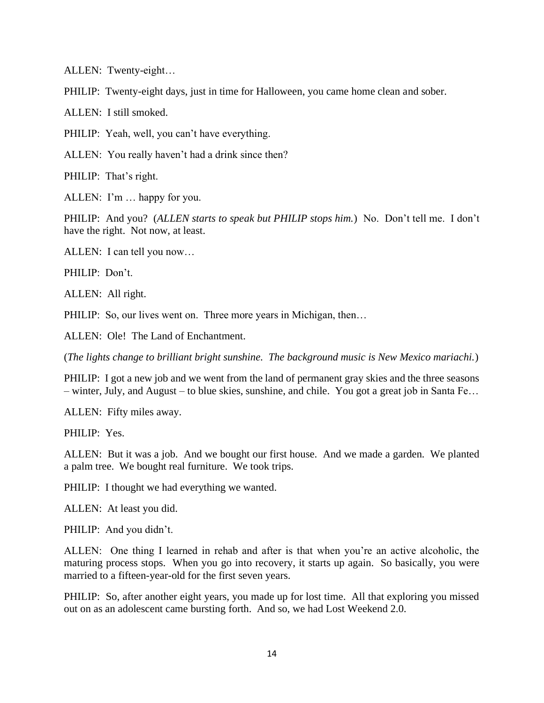ALLEN: Twenty-eight…

PHILIP: Twenty-eight days, just in time for Halloween, you came home clean and sober.

ALLEN: I still smoked.

PHILIP: Yeah, well, you can't have everything.

ALLEN: You really haven't had a drink since then?

PHILIP: That's right.

ALLEN: I'm … happy for you.

PHILIP: And you? (*ALLEN starts to speak but PHILIP stops him.*) No. Don't tell me. I don't have the right. Not now, at least.

ALLEN: I can tell you now…

PHILIP: Don't.

ALLEN: All right.

PHILIP: So, our lives went on. Three more years in Michigan, then...

ALLEN: Ole! The Land of Enchantment.

(*The lights change to brilliant bright sunshine. The background music is New Mexico mariachi.*)

PHILIP: I got a new job and we went from the land of permanent gray skies and the three seasons – winter, July, and August – to blue skies, sunshine, and chile. You got a great job in Santa Fe…

ALLEN: Fifty miles away.

PHILIP: Yes.

ALLEN: But it was a job. And we bought our first house. And we made a garden. We planted a palm tree. We bought real furniture. We took trips.

PHILIP: I thought we had everything we wanted.

ALLEN: At least you did.

PHILIP: And you didn't.

ALLEN: One thing I learned in rehab and after is that when you're an active alcoholic, the maturing process stops. When you go into recovery, it starts up again. So basically, you were married to a fifteen-year-old for the first seven years.

PHILIP: So, after another eight years, you made up for lost time. All that exploring you missed out on as an adolescent came bursting forth. And so, we had Lost Weekend 2.0.